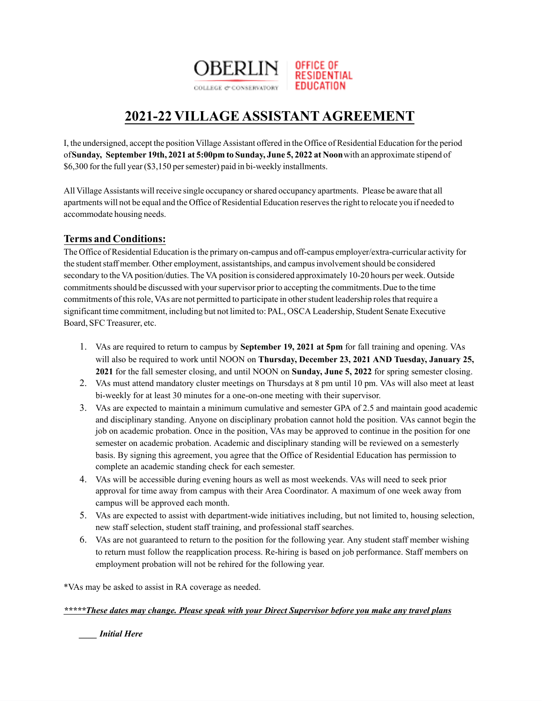

# **2021-22 VILLAGE ASSISTANT AGREEMENT**

**RESIDENTIAL** EDUCATION

I, the undersigned, accept the position Village Assistant offered in the Office of Residential Education for the period of Sunday, September 19th, 2021 at 5:00pm to Sunday, June 5, 2022 at Noon with an approximate stipend of \$6,300 for the full year (\$3,150 per semester) paid in bi-weekly installments.

All Village Assistants will receive single occupancy or shared occupancy apartments. Please be aware that all apartments will not be equal and the Office of Residential Education reserves the right to relocate you if needed to accommodate housing needs.

# **Terms and Conditions:**

The Office of Residential Education is the primary on-campus and off-campus employer/extra-curricular activity for the student staff member. Other employment, assistantships, and campus involvement should be considered secondary to the VA position/duties. The VA position is considered approximately 10-20 hours per week. Outside commitments should be discussed with your supervisor prior to accepting the commitments. Due to the time commitments of this role, VAs are not permitted to participate in other student leadership roles that require a significant time commitment, including but not limited to: PAL, OSCA Leadership, Student Senate Executive Board, SFC Treasurer, etc.

- 1. VAs are required to return to campus by **September 19, 2021 at 5pm** for fall training and opening. VAs will also be required to work until NOON on **Thursday, December 23, 2021 AND Tuesday, January 25, 2021** for the fall semester closing, and until NOON on **Sunday, June 5, 2022** for spring semester closing.
- 2. VAs must attend mandatory cluster meetings on Thursdays at 8 pm until 10 pm. VAs will also meet at least bi-weekly for at least 30 minutes for a one-on-one meeting with their supervisor.
- 3. VAs are expected to maintain a minimum cumulative and semester GPA of 2.5 and maintain good academic and disciplinary standing. Anyone on disciplinary probation cannot hold the position. VAs cannot begin the job on academic probation. Once in the position, VAs may be approved to continue in the position for one semester on academic probation. Academic and disciplinary standing will be reviewed on a semesterly basis. By signing this agreement, you agree that the Office of Residential Education has permission to complete an academic standing check for each semester.
- 4. VAs will be accessible during evening hours as well as most weekends. VAs will need to seek prior approval for time away from campus with their Area Coordinator. A maximum of one week away from campus will be approved each month.
- 5. VAs are expected to assist with department-wide initiatives including, but not limited to, housing selection, new staff selection, student staff training, and professional staff searches.
- 6. VAs are not guaranteed to return to the position for the following year. Any student staff member wishing to return must follow the reapplication process. Re-hiring is based on job performance. Staff members on employment probation will not be rehired for the following year.

\*VAs may be asked to assist in RA coverage as needed.

*\*\*\*\*\*These dates may change. Please speak with your Direct Supervisor before you make any travel plans*

*\_\_\_\_ Initial Here*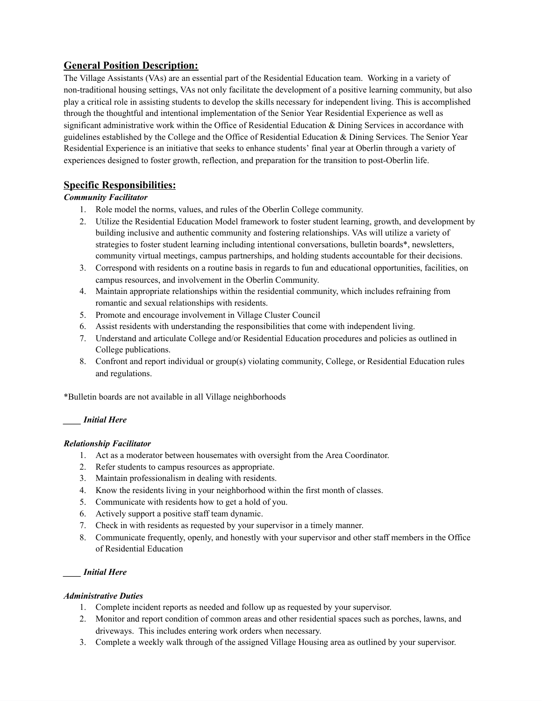# **General Position Description:**

The Village Assistants (VAs) are an essential part of the Residential Education team. Working in a variety of non-traditional housing settings, VAs not only facilitate the development of a positive learning community, but also play a critical role in assisting students to develop the skills necessary for independent living. This is accomplished through the thoughtful and intentional implementation of the Senior Year Residential Experience as well as significant administrative work within the Office of Residential Education & Dining Services in accordance with guidelines established by the College and the Office of Residential Education & Dining Services. The Senior Year Residential Experience is an initiative that seeks to enhance students' final year at Oberlin through a variety of experiences designed to foster growth, reflection, and preparation for the transition to post-Oberlin life.

# **Specific Responsibilities:**

# *Community Facilitator*

- 1. Role model the norms, values, and rules of the Oberlin College community.
- 2. Utilize the Residential Education Model framework to foster student learning, growth, and development by building inclusive and authentic community and fostering relationships. VAs will utilize a variety of strategies to foster student learning including intentional conversations, bulletin boards\*, newsletters, community virtual meetings, campus partnerships, and holding students accountable for their decisions.
- 3. Correspond with residents on a routine basis in regards to fun and educational opportunities, facilities, on campus resources, and involvement in the Oberlin Community.
- 4. Maintain appropriate relationships within the residential community, which includes refraining from romantic and sexual relationships with residents.
- 5. Promote and encourage involvement in Village Cluster Council
- 6. Assist residents with understanding the responsibilities that come with independent living.
- 7. Understand and articulate College and/or Residential Education procedures and policies as outlined in College publications.
- 8. Confront and report individual or group(s) violating community, College, or Residential Education rules and regulations.

\*Bulletin boards are not available in all Village neighborhoods

## *\_\_\_\_ Initial Here*

## *Relationship Facilitator*

- 1. Act as a moderator between housemates with oversight from the Area Coordinator.
- 2. Refer students to campus resources as appropriate.
- 3. Maintain professionalism in dealing with residents.
- 4. Know the residents living in your neighborhood within the first month of classes.
- 5. Communicate with residents how to get a hold of you.
- 6. Actively support a positive staff team dynamic.
- 7. Check in with residents as requested by your supervisor in a timely manner.
- 8. Communicate frequently, openly, and honestly with your supervisor and other staff members in the Office of Residential Education

## *\_\_\_\_ Initial Here*

## *Administrative Duties*

- 1. Complete incident reports as needed and follow up as requested by your supervisor.
- 2. Monitor and report condition of common areas and other residential spaces such as porches, lawns, and driveways. This includes entering work orders when necessary.
- 3. Complete a weekly walk through of the assigned Village Housing area as outlined by your supervisor.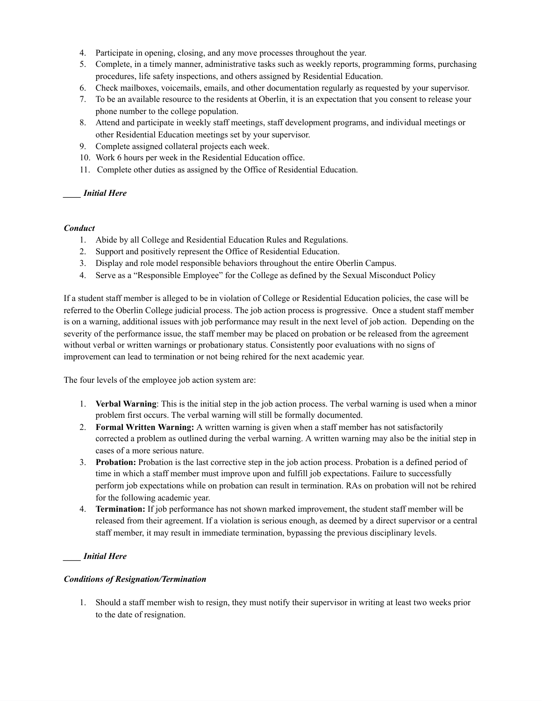- 4. Participate in opening, closing, and any move processes throughout the year.
- 5. Complete, in a timely manner, administrative tasks such as weekly reports, programming forms, purchasing procedures, life safety inspections, and others assigned by Residential Education.
- 6. Check mailboxes, voicemails, emails, and other documentation regularly as requested by your supervisor.
- 7. To be an available resource to the residents at Oberlin, it is an expectation that you consent to release your phone number to the college population.
- 8. Attend and participate in weekly staff meetings, staff development programs, and individual meetings or other Residential Education meetings set by your supervisor.
- 9. Complete assigned collateral projects each week.
- 10. Work 6 hours per week in the Residential Education office.
- 11. Complete other duties as assigned by the Office of Residential Education.

#### *\_\_\_\_ Initial Here*

#### *Conduct*

- 1. Abide by all College and Residential Education Rules and Regulations.
- 2. Support and positively represent the Office of Residential Education.
- 3. Display and role model responsible behaviors throughout the entire Oberlin Campus.
- 4. Serve as a "Responsible Employee" for the College as defined by the Sexual Misconduct Policy

If a student staff member is alleged to be in violation of College or Residential Education policies, the case will be referred to the Oberlin College judicial process. The job action process is progressive. Once a student staff member is on a warning, additional issues with job performance may result in the next level of job action. Depending on the severity of the performance issue, the staff member may be placed on probation or be released from the agreement without verbal or written warnings or probationary status. Consistently poor evaluations with no signs of improvement can lead to termination or not being rehired for the next academic year.

The four levels of the employee job action system are:

- 1. **Verbal Warning**: This is the initial step in the job action process. The verbal warning is used when a minor problem first occurs. The verbal warning will still be formally documented.
- 2. **Formal Written Warning:** A written warning is given when a staff member has not satisfactorily corrected a problem as outlined during the verbal warning. A written warning may also be the initial step in cases of a more serious nature.
- 3. **Probation:** Probation is the last corrective step in the job action process. Probation is a defined period of time in which a staff member must improve upon and fulfill job expectations. Failure to successfully perform job expectations while on probation can result in termination. RAs on probation will not be rehired for the following academic year.
- 4. **Termination:** If job performance has not shown marked improvement, the student staff member will be released from their agreement. If a violation is serious enough, as deemed by a direct supervisor or a central staff member, it may result in immediate termination, bypassing the previous disciplinary levels.

## *\_\_\_\_ Initial Here*

#### *Conditions of Resignation/Termination*

1. Should a staff member wish to resign, they must notify their supervisor in writing at least two weeks prior to the date of resignation.